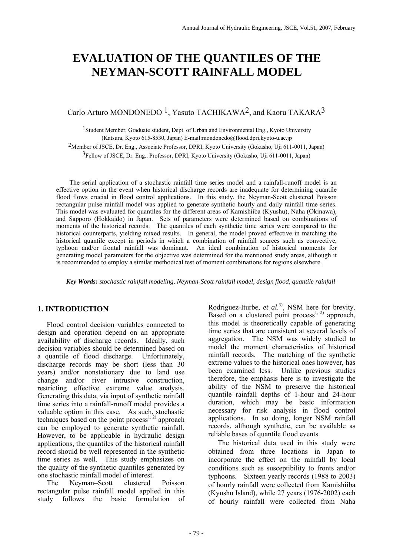# **EVALUATION OF THE QUANTILES OF THE NEYMAN-SCOTT RAINFALL MODEL**

## Carlo Arturo MONDONEDO<sup>1</sup>, Yasuto TACHIKAWA<sup>2</sup>, and Kaoru TAKARA<sup>3</sup>

<sup>1</sup> Student Member, Graduate student, Dept. of Urban and Environmental Eng., Kyoto University (Katsura, Kyoto 615-8530, Japan) E-mail:mondonedo@flood.dpri.kyoto-u.ac.jp

2Member of JSCE, Dr. Eng., Associate Professor, DPRI, Kyoto University (Gokasho, Uji 611-0011, Japan) 3Fellow of JSCE, Dr. Eng., Professor, DPRI, Kyoto University (Gokasho, Uji 611-0011, Japan)

 The serial application of a stochastic rainfall time series model and a rainfall-runoff model is an effective option in the event when historical discharge records are inadequate for determining quantile flood flows crucial in flood control applications. In this study, the Neyman-Scott clustered Poisson rectangular pulse rainfall model was applied to generate synthetic hourly and daily rainfall time series. This model was evaluated for quantiles for the different areas of Kamishiiba (Kyushu), Naha (Okinawa), and Sapporo (Hokkaido) in Japan. Sets of parameters were determined based on combinations of moments of the historical records. The quantiles of each synthetic time series were compared to the historical counterparts, yielding mixed results. In general, the model proved effective in matching the historical quantile except in periods in which a combination of rainfall sources such as convective, typhoon and/or frontal rainfall was dominant. An ideal combination of historical moments for generating model parameters for the objective was determined for the mentioned study areas, although it is recommended to employ a similar methodical test of moment combinations for regions elsewhere.

 *Key Words: stochastic rainfall modeling, Neyman-Scott rainfall model, design flood, quantile rainfall* 

## **1. INTRODUCTION**

Flood control decision variables connected to design and operation depend on an appropriate availability of discharge records. Ideally, such decision variables should be determined based on a quantile of flood discharge. Unfortunately, discharge records may be short (less than 30 years) and/or nonstationary due to land use change and/or river intrusive construction, restricting effective extreme value analysis. Generating this data, via input of synthetic rainfall time series into a rainfall-runoff model provides a valuable option in this case. As such, stochastic techniques based on the point process<sup>1, 2)</sup> approach can be employed to generate synthetic rainfall. However, to be applicable in hydraulic design applications, the quantiles of the historical rainfall record should be well represented in the synthetic time series as well. This study emphasizes on the quality of the synthetic quantiles generated by one stochastic rainfall model of interest.

The Neyman–Scott clustered Poisson rectangular pulse rainfall model applied in this study follows the basic formulation of Rodriguez-Iturbe, *et al*. 3), NSM here for brevity. Based on a clustered point process<sup>1, 2)</sup> approach, this model is theoretically capable of generating time series that are consistent at several levels of aggregation. The NSM was widely studied to model the moment characteristics of historical rainfall records. The matching of the synthetic extreme values to the historical ones however, has been examined less. Unlike previous studies therefore, the emphasis here is to investigate the ability of the NSM to preserve the historical quantile rainfall depths of 1-hour and 24-hour duration, which may be basic information necessary for risk analysis in flood control applications. In so doing, longer NSM rainfall records, although synthetic, can be available as reliable bases of quantile flood events.

The historical data used in this study were obtained from three locations in Japan to incorporate the effect on the rainfall by local conditions such as susceptibility to fronts and/or typhoons. Sixteen yearly records (1988 to 2003) of hourly rainfall were collected from Kamishiiba (Kyushu Island), while 27 years (1976-2002) each of hourly rainfall were collected from Naha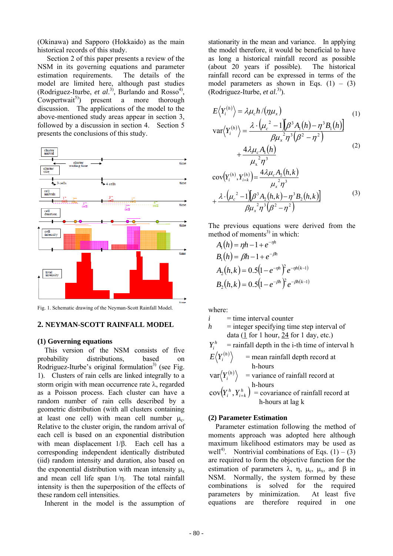(Okinawa) and Sapporo (Hokkaido) as the main historical records of this study.

Section 2 of this paper presents a review of the NSM in its governing equations and parameter estimation requirements. The details of the model are limited here, although past studies (Rodriguez-Iturbe, *et al.*<sup>3)</sup>, Burlando and Rosso<sup>4)</sup>, Cowpertwait<sup>5)</sup> present a more thorough discussion. The applications of the model to the above-mentioned study areas appear in section 3, followed by a discussion in section 4. Section 5 presents the conclusions of this study.



Fig. 1. Schematic drawing of the Neyman-Scott Rainfall Model.

#### **2. NEYMAN-SCOTT RAINFALL MODEL**

#### **(1) Governing equations**

This version of the NSM consists of five probability distributions, based on Rodriguez-Iturbe's original formulation<sup>3)</sup> (see Fig. 1). Clusters of rain cells are linked integrally to a storm origin with mean occurrence rate  $\lambda$ , regarded as a Poisson process. Each cluster can have a random number of rain cells described by a geometric distribution (with all clusters containing at least one cell) with mean cell number  $\mu_c$ . Relative to the cluster origin, the random arrival of each cell is based on an exponential distribution with mean displacement 1/β. Each cell has a corresponding independent identically distributed (iid) random intensity and duration, also based on the exponential distribution with mean intensity  $\mu_{x}$ and mean cell life span 1/η. The total rainfall intensity is then the superposition of the effects of these random cell intensities.

Inherent in the model is the assumption of

stationarity in the mean and variance. In applying the model therefore, it would be beneficial to have as long a historical rainfall record as possible (about 20 years if possible). The historical rainfall record can be expressed in terms of the model parameters as shown in Eqs.  $(1) - (3)$ (Rodriguez-Iturbe, *et al*. 3)).

$$
E\langle Y_i^{(h)}\rangle = \lambda \mu_c h / (\eta \mu_x)
$$
\n
$$
var\langle Y_i^{(h)}\rangle = \frac{\lambda \cdot (\mu_c^2 - 1) \beta^3 A_1(h) - \eta^3 B_1(h)}{\beta \mu_x^2 \eta^3 (\beta^2 - \eta^2)} + \frac{4 \lambda \mu_c A_1(h)}{\mu_x^2 \eta^3}
$$
\n(2)

$$
\begin{aligned} \n\text{cov}\Big(Y_i^{(h)}, Y_{i+k}^{(h)}\Big) &= \frac{4\lambda\mu_c A_2(h,k)}{\mu_x^2 \eta^3} \\ \n&+ \frac{\lambda \cdot \left(\mu_c^2 - 1\right) \beta^3 A_2(h,k) - \eta^3 B_2(h,k)}{\beta \mu_x^2 \eta^3 \left(\beta^2 - \eta^2\right)} \n\end{aligned} \tag{3}
$$

The previous equations were derived from the method of moments $^{3)}$  in which:

$$
A_1(h) = \eta h - 1 + e^{-\eta h}
$$
  
\n
$$
B_1(h) = \beta h - 1 + e^{-\beta h}
$$
  
\n
$$
A_2(h, k) = 0.5(1 - e^{-\eta h})^2 e^{-\eta h(k-1)}
$$
  
\n
$$
B_2(h, k) = 0.5(1 - e^{-\beta h})^2 e^{-\beta h(k-1)}
$$

where:

- $i =$  time interval counter
- $h$  = integer specifying time step interval of data (1 for 1 hour, 24 for 1 day, etc.)
- $Y_i^h$  = rainfall depth in the i-th time of interval h
- $=$  mean rainfall depth record at h-hours
- = variance of rainfall record at  $h$ -hours  $cov(Y_i^h, Y_{i+k}^h)$  = covariance of rainfall record at

$$
x \rightarrow (x_i, x_{i+k})
$$

#### **(2) Parameter Estimation**

Parameter estimation following the method of moments approach was adopted here although maximum likelihood estimators may be used as well<sup>4)</sup>. Nontrivial combinations of Eqs.  $(1) - (3)$ are required to form the objective function for the estimation of parameters  $λ$ , η,  $μ_c$ ,  $μ_x$ , and β in NSM. Normally, the system formed by these combinations is solved for the required parameters by minimization. At least five equations are therefore required in one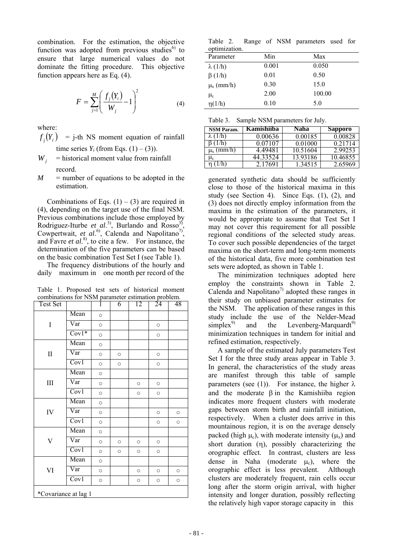combination. For the estimation, the objective function was adopted from previous studies $^{6}$  to ensure that large numerical values do not dominate the fitting procedure. This objective function appears here as Eq. (4).

$$
F = \sum_{j=1}^{M} \left( \frac{f_j(Y_i)}{W_j} - 1 \right)^2
$$
 (4)

where:

- $f_i(Y_i)$  = j-th NS moment equation of rainfall time series  $Y_i$  (from Eqs.  $(1) - (3)$ ).
- $W_i$  = historical moment value from rainfall
	- record.
- $M =$  number of equations to be adopted in the estimation.

Combinations of Eqs.  $(1) - (3)$  are required in (4), depending on the target use of the final NSM. Previous combinations include those employed by Rodriguez-Iturbe *et al.*<sup>3)</sup>, Burlando and Rosso<sup>3)</sup>, Cowpertwait, et al.<sup>6</sup>, Calenda and Napolitano<sup>7)</sup>, and Favre *et al*. 8), to cite a few. For instance, the determination of the five parameters can be based on the basic combination Test Set I (see Table 1).

The frequency distributions of the hourly and daily maximum in one month per record of the

Table 1. Proposed test sets of historical moment combinations for NSM parameter estimation problem.

| <b>Test Set</b>      |                         | Ī          | 6       | 12         | $\overline{24}$ | 48         |
|----------------------|-------------------------|------------|---------|------------|-----------------|------------|
|                      | Mean                    | $\circ$    |         |            |                 |            |
| $\rm I$              | $\overline{\text{Var}}$ | $\circ$    |         |            | $\bigcirc$      |            |
|                      | $Cov1*$                 | $\bigcirc$ |         |            | $\bigcirc$      |            |
|                      | Mean                    | $\circ$    |         |            |                 |            |
| $\rm II$             | $\overline{\text{Var}}$ | $\circ$    | $\circ$ |            | $\bigcirc$      |            |
|                      | Cov1                    | $\circ$    | $\circ$ |            | $\circ$         |            |
|                      | Mean                    | $\bigcirc$ |         |            |                 |            |
| $\rm III$            | Var                     | $\bigcirc$ |         | $\bigcirc$ | $\bigcirc$      |            |
|                      | Cov1                    | $\circ$    |         | $\bigcirc$ | $\bigcirc$      |            |
| ${\rm IV}$           | Mean                    | $\circ$    |         |            |                 |            |
|                      | Var                     | $\bigcirc$ |         |            | $\circ$         | $\circ$    |
|                      | Cov1                    | $\circ$    |         |            | $\circ$         | $\circ$    |
|                      | Mean                    | $\circ$    |         |            |                 |            |
| $\mathbf V$          | $\overline{\text{Var}}$ | $\circ$    | $\circ$ | $\bigcirc$ | $\bigcirc$      |            |
|                      | Cov1                    | $\bigcirc$ | $\circ$ | $\bigcirc$ | $\bigcirc$      |            |
|                      | Mean                    | $\bigcirc$ |         |            |                 |            |
| VI                   | $\overline{\text{Var}}$ | $\circ$    |         | $\circ$    | $\bigcirc$      | $\circ$    |
|                      | Cov1                    | $\bigcirc$ |         | $\bigcirc$ | $\bigcirc$      | $\bigcirc$ |
| *Covariance at lag 1 |                         |            |         |            |                 |            |

Table 2. Range of NSM parameters used for optimization.

| Parameter            | Min   | Max    |  |
|----------------------|-------|--------|--|
| $\lambda(1/h)$       | 0.001 | 0.050  |  |
| $\beta(1/h)$         | 0.01  | 0.50   |  |
| $\mu_{\rm x}$ (mm/h) | 0.30  | 15.0   |  |
| $\mu_{\rm c}$        | 2.00  | 100.00 |  |
| $\eta(1/h)$          | 0.10  | 5.0    |  |

| Table 3. |  | Sample NSM parameters for July. |  |
|----------|--|---------------------------------|--|
|----------|--|---------------------------------|--|

| <b>NSM Param.</b>    | Kamishiiba | Naha     | <b>Sapporo</b> |
|----------------------|------------|----------|----------------|
|                      | 0.00636    | 0.00185  | 0.00828        |
|                      | 0.07107    | 0.01000  | 0 21714        |
| $\mu_{\rm x}$ (mm/h) | 4.49481    | 10.51604 | 2.99253        |
| $\mu_{\rm c}$        | 44.33524   | 13.93186 | 10.46855       |
|                      |            | 1.34515  | 2.65969        |

generated synthetic data should be sufficiently close to those of the historical maxima in this study (see Section 4). Since Eqs. (1), (2), and (3) does not directly employ information from the maxima in the estimation of the parameters, it would be appropriate to assume that Test Set I may not cover this requirement for all possible regional conditions of the selected study areas. To cover such possible dependencies of the target maxima on the short-term and long-term moments of the historical data, five more combination test sets were adopted, as shown in Table 1.

The minimization techniques adopted here employ the constraints shown in Table 2. Calenda and Napolitano<sup>7)</sup> adopted these ranges in their study on unbiased parameter estimates for the NSM. The application of these ranges in this study include the use of the Nelder-Mead simplex<sup>9)</sup> and the Levenberg-Marquardt<sup>9)</sup> minimization techniques in tandem for initial and refined estimation, respectively.

A sample of the estimated July parameters Test Set I for the three study areas appear in Table 3. In general, the characteristics of the study areas are manifest through this table of sample parameters (see (1)). For instance, the higher  $\lambda$ and the moderate  $\beta$  in the Kamishiiba region indicates more frequent clusters with moderate gaps between storm birth and rainfall initiation, respectively. When a cluster does arrive in this mountainous region, it is on the average densely packed (high  $\mu_c$ ), with moderate intensity ( $\mu_x$ ) and short duration (η), possibly characterizing the orographic effect. In contrast, clusters are less dense in Naha (moderate  $\mu_c$ ), where the orographic effect is less prevalent. Although clusters are moderately frequent, rain cells occur long after the storm origin arrival, with higher intensity and longer duration, possibly reflecting the relatively high vapor storage capacity in this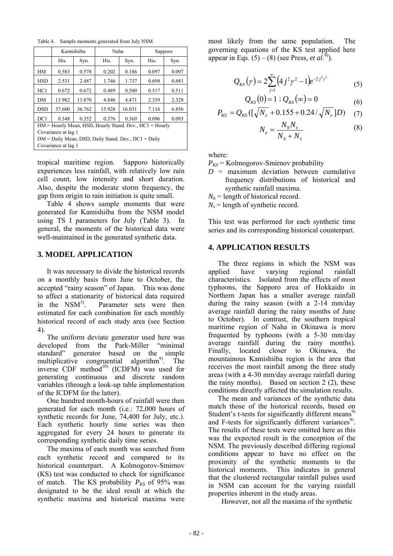Table 4. Sample moments generated from July NSM.

|                                                                                                                                                                    | Kamishiiba                                         |                                     | Naha  |       | Sapporo |       |  |  |
|--------------------------------------------------------------------------------------------------------------------------------------------------------------------|----------------------------------------------------|-------------------------------------|-------|-------|---------|-------|--|--|
|                                                                                                                                                                    | His.                                               | Syn.                                | His.  | Syn.  | His.    | Syn.  |  |  |
| <b>HM</b>                                                                                                                                                          | 0.583                                              | 0.578                               | 0.202 | 0.186 | 0.097   | 0.097 |  |  |
| <b>HSD</b>                                                                                                                                                         | 2.531                                              | 2.487                               | 1.746 | 1.737 | 0.698   | 0.681 |  |  |
| HC1                                                                                                                                                                | 0.672                                              | 0.672                               | 0.489 | 0.500 | 0.517   | 0.511 |  |  |
| DM                                                                                                                                                                 | 13.982                                             | 13.870                              | 4.846 | 4.471 | 2.339   | 2.328 |  |  |
| <b>DSD</b>                                                                                                                                                         | 37.600                                             | 36.762<br>15.928<br>16.031<br>7.116 |       |       |         | 6.856 |  |  |
| DC1                                                                                                                                                                | 0.096<br>0.093<br>0.348<br>0.352<br>0.376<br>0.369 |                                     |       |       |         |       |  |  |
| HM = Hourly Mean, HSD, Hourly Stand. Dev., HC1 = Hourly<br>Covariance at lag 1<br>$DM = Daily Mean$ , DSD, Daily Stand. Dev., $DC1 = Daily$<br>Covariance at lag 1 |                                                    |                                     |       |       |         |       |  |  |

tropical maritime region. Sapporo historically experiences less rainfall, with relatively low rain cell count, low intensity and short duration. Also, despite the moderate storm frequency, the gap from origin to rain initiation is quite small.

Table 4 shows sample moments that were generated for Kamishiiba from the NSM model using TS I parameters for July (Table 3). In general, the moments of the historical data were well-maintained in the generated synthetic data.

## **3. MODEL APPLICATION**

 It was necessary to divide the historical records on a monthly basis from June to October, the accepted "rainy season" of Japan. This was done to affect a stationarity of historical data required in the  $NSM<sup>3</sup>$ . Parameter sets were then estimated for each combination for each monthly historical record of each study area (see Section 4).

The uniform deviate generator used here was developed from the Park-Miller "minimal standard" generator based on the simple multiplicative congruential algorithm<sup>9)</sup>. The inverse  $CDF$  method<sup>10)</sup> (ICDFM) was used for generating continuous and discrete random variables (through a look-up table implementation of the ICDFM for the latter).

One hundred month-hours of rainfall were then generated for each month (i.e.: 72,000 hours of synthetic records for June, 74,400 for July, etc.). Each synthetic hourly time series was then aggregated for every 24 hours to generate its corresponding synthetic daily time series.

The maxima of each month was searched from each synthetic record and compared to its historical counterpart. A Kolmogorov-Smirnov (KS) test was conducted to check for significance of match. The KS probability  $P_{KS}$  of 95% was designated to be the ideal result at which the synthetic maxima and historical maxima were most likely from the same population. The governing equations of the KS test applied here appear in Eqs.  $(5) - (8)$  (see Press, *et al.*<sup>9</sup>).

$$
Q_{KS}(\gamma) = 2\sum_{j=1}^{\infty} (4j^2\gamma^2 - 1)e^{-2j^2\gamma^2}
$$
 (5)

$$
Q_{KS}(0) = 1 : Q_{KS}(\infty) = 0
$$
 (6)

$$
P_{KS} = Q_{KS}([\sqrt{N_e} + 0.155 + 0.24 / \sqrt{N_e}]D) \quad (7)
$$

$$
N_e = \frac{N_h N_s}{N_h + N_s} \tag{8}
$$

where:

 $P_{KS}$  = Kolmogorov-Smirnov probability

 $D =$  maximum deviation between cumulative frequency distributions of historical and synthetic rainfall maxima.

 $N_h$  = length of historical record.

 $N_s$  = length of synthetic record.

This test was performed for each synthetic time series and its corresponding historical counterpart.

## **4. APPLICATION RESULTS**

The three regions in which the NSM was applied have varying regional rainfall characteristics. Isolated from the effects of most typhoons, the Sapporo area of Hokkaido in Northern Japan has a smaller average rainfall during the rainy season (with a 2-14 mm/day average rainfall during the rainy months of June to October). In contrast, the southern tropical maritime region of Naha in Okinawa is more frequented by typhoons (with a 5-30 mm/day average rainfall during the rainy months). Finally, located closer to Okinawa, the mountainous Kamishiiba region is the area that receives the most rainfall among the three study areas (with a 4-30 mm/day average rainfall during the rainy months). Based on section 2 (2), these conditions directly affected the simulation results.

The mean and variances of the synthetic data match those of the historical records, based on Student's t-tests for significantly different means<sup>9)</sup> and F-tests for significantly different variances<sup>9</sup>. The results of these tests were omitted here as this was the expected result in the conception of the NSM. The previously described differing regional conditions appear to have no effect on the proximity of the synthetic moments to the historical moments. This indicates in general that the clustered rectangular rainfall pulses used in NSM can account for the varying rainfall properties inherent in the study areas.

However, not all the maxima of the synthetic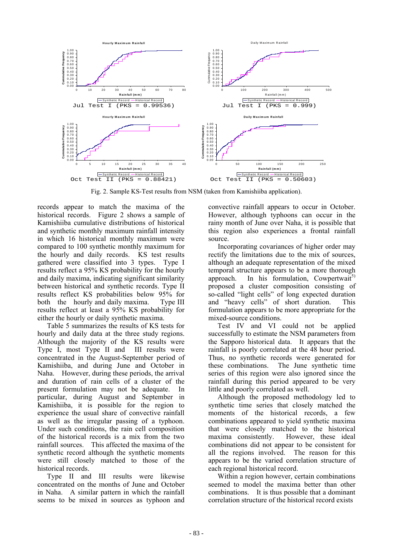

Fig. 2. Sample KS-Test results from NSM (taken from Kamishiiba application).

records appear to match the maxima of the historical records. Figure 2 shows a sample of Kamishiiba cumulative distributions of historical and synthetic monthly maximum rainfall intensity in which 16 historical monthly maximum were compared to 100 synthetic monthly maximum for the hourly and daily records. KS test results gathered were classified into 3 types. Type I results reflect a 95% KS probability for the hourly and daily maxima, indicating significant similarity between historical and synthetic records. Type II results reflect KS probabilities below 95% for both the hourly and daily maxima. Type III results reflect at least a 95% KS probability for either the hourly or daily synthetic maxima.

Table 5 summarizes the results of KS tests for hourly and daily data at the three study regions. Although the majority of the KS results were Type I, most Type II and III results were concentrated in the August-September period of Kamishiiba, and during June and October in Naha. However, during these periods, the arrival and duration of rain cells of a cluster of the present formulation may not be adequate. In particular, during August and September in Kamishiiba, it is possible for the region to experience the usual share of convective rainfall as well as the irregular passing of a typhoon. Under such conditions, the rain cell composition of the historical records is a mix from the two rainfall sources. This affected the maxima of the synthetic record although the synthetic moments were still closely matched to those of the historical records.

Type II and III results were likewise concentrated on the months of June and October in Naha. A similar pattern in which the rainfall seems to be mixed in sources as typhoon and convective rainfall appears to occur in October. However, although typhoons can occur in the rainy month of June over Naha, it is possible that this region also experiences a frontal rainfall source.

Incorporating covariances of higher order may rectify the limitations due to the mix of sources, although an adequate representation of the mixed temporal structure appears to be a more thorough approach. In his formulation, Cowpertwait $5$ proposed a cluster composition consisting of so-called "light cells" of long expected duration and "heavy cells" of short duration. This formulation appears to be more appropriate for the mixed-source conditions.

 Test IV and VI could not be applied successfully to estimate the NSM parameters from the Sapporo historical data. It appears that the rainfall is poorly correlated at the 48 hour period. Thus, no synthetic records were generated for these combinations. The June synthetic time series of this region were also ignored since the rainfall during this period appeared to be very little and poorly correlated as well.

Although the proposed methodology led to synthetic time series that closely matched the moments of the historical records, a few combinations appeared to yield synthetic maxima that were closely matched to the historical maxima consistently. However, these ideal combinations did not appear to be consistent for all the regions involved. The reason for this appears to be the varied correlation structure of each regional historical record.

Within a region however, certain combinations seemed to model the maxima better than other combinations. It is thus possible that a dominant correlation structure of the historical record exists